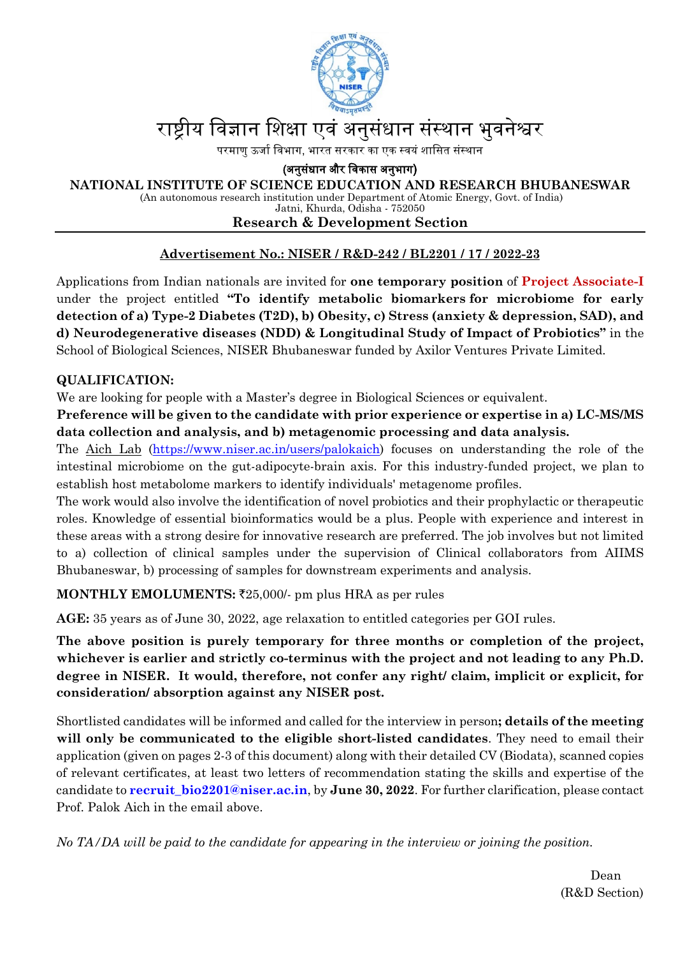

# राष्टीय विज्ञान शिक्षा एवं अनुसंधान संस्थान भुवनेश्वर

परमाणु ऊर्जा विभाग, भारत सरकार का एक स्वयं शासित संस्थान

(अनुसंधान और िवकास अनुभाग)

**NATIONAL INSTITUTE OF SCIENCE EDUCATION AND RESEARCH BHUBANESWAR**

(An autonomous research institution under Department of Atomic Energy, Govt. of India) Jatni, Khurda, Odisha - 752050

### **Research & Development Section**

## **Advertisement No.: NISER / R&D-242 / BL2201 / 17 / 2022-23**

Applications from Indian nationals are invited for **one temporary position** of **Project Associate-I** under the project entitled **"To identify metabolic biomarkers for microbiome for early detection of a) Type-2 Diabetes (T2D), b) Obesity, c) Stress (anxiety & depression, SAD), and d) Neurodegenerative diseases (NDD) & Longitudinal Study of Impact of Probiotics"** in the School of Biological Sciences, NISER Bhubaneswar funded by Axilor Ventures Private Limited.

### **QUALIFICATION:**

We are looking for people with a Master's degree in Biological Sciences or equivalent.

**Preference will be given to the candidate with prior experience or expertise in a) LC-MS/MS data collection and analysis, and b) metagenomic processing and data analysis.** 

The [Aich Lab](https://www.niser.ac.in/users/palokaich) [\(https://www.niser.ac.in/users/palokaich\)](https://www.niser.ac.in/users/palokaich) focuses on understanding the role of the intestinal microbiome on the gut-adipocyte-brain axis. For this industry-funded project, we plan to establish host metabolome markers to identify individuals' metagenome profiles.

The work would also involve the identification of novel probiotics and their prophylactic or therapeutic roles. Knowledge of essential bioinformatics would be a plus. People with experience and interest in these areas with a strong desire for innovative research are preferred. The job involves but not limited to a) collection of clinical samples under the supervision of Clinical collaborators from AIIMS Bhubaneswar, b) processing of samples for downstream experiments and analysis.

**MONTHLY EMOLUMENTS:** `25,000/- pm plus HRA as per rules

**AGE:** 35 years as of June 30, 2022, age relaxation to entitled categories per GOI rules.

**The above position is purely temporary for three months or completion of the project, whichever is earlier and strictly co-terminus with the project and not leading to any Ph.D. degree in NISER. It would, therefore, not confer any right/ claim, implicit or explicit, for consideration/ absorption against any NISER post.** 

Shortlisted candidates will be informed and called for the interview in person**; details of the meeting will only be communicated to the eligible short-listed candidates**. They need to email their application (given on pages 2-3 of this document) along with their detailed CV (Biodata), scanned copies of relevant certificates, at least two letters of recommendation stating the skills and expertise of the candidate to **[recruit\\_bio2201@niser.ac.in](mailto:recruit_bio2201@niser.ac.in)**, by **June 30, 2022**. For further clarification, please contact Prof. Palok Aich in the email above.

*No TA/DA will be paid to the candidate for appearing in the interview or joining the position.*

Dean (R&D Section)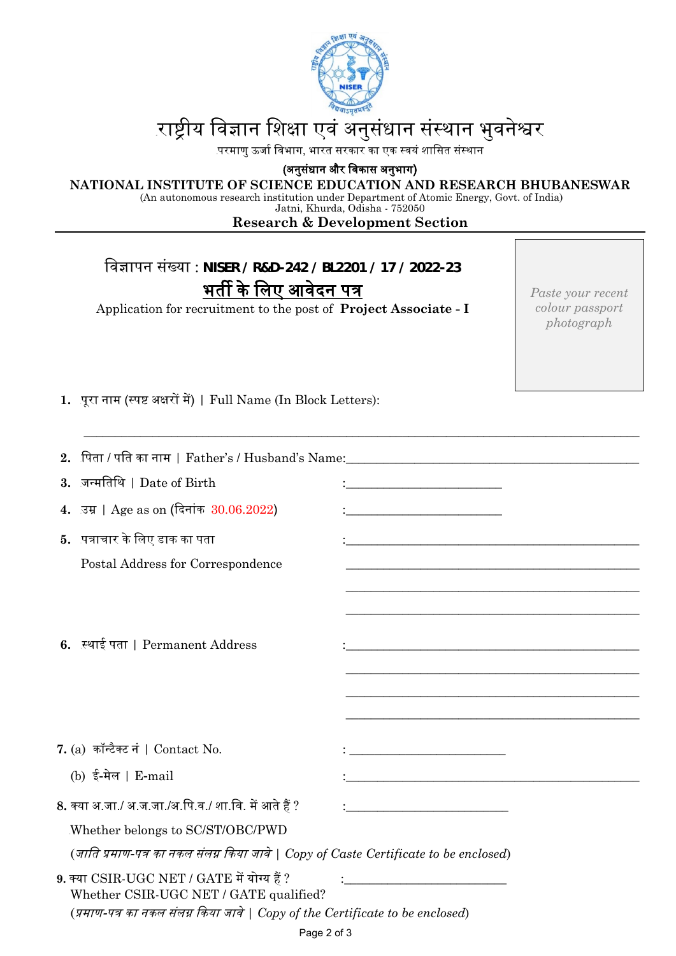

# राष्ट्रीय विज्ञान शिक्षा एवं अनुसंधान संस्थान भुवनेश्वर

.<br>परमाणु ऊर्जा विभाग, भारत सरकार का एक स्वयं शासित संस्थान

(अनुसंधान और िवकास अनुभाग)

**NATIONAL INSTITUTE OF SCIENCE EDUCATION AND RESEARCH BHUBANESWAR**

(An autonomous research institution under Department of Atomic Energy, Govt. of India) Jatni, Khurda, Odisha - 752050

### **Research & Development Section**

\_\_\_\_\_\_\_\_\_\_\_\_\_\_\_\_\_\_\_\_\_\_\_\_\_\_\_\_\_\_\_\_\_\_\_\_\_\_\_\_\_\_\_\_\_\_\_\_\_\_\_\_\_\_\_\_\_\_\_\_\_\_\_\_\_\_\_\_\_\_\_\_\_\_\_\_\_\_\_\_\_\_\_\_\_\_\_\_\_

िवज्ञापन संख्या : **NISER / R&D-242 / BL2201 / 17 / 2022-23** भर्ती के लिए आवेदन पत्र

Application for recruitment to the post of **Project Associate - I**

*Paste your recent colour passport photograph*

1. पूरा नाम (स्पष्ट अक्षरों में) | Full Name (In Block Letters):

|                                                                                                                          | 2.   पिता / पति का नाम     Father's / Husband's Name:____________________________ |                                                                                                                       |  |  |  |  |  |
|--------------------------------------------------------------------------------------------------------------------------|-----------------------------------------------------------------------------------|-----------------------------------------------------------------------------------------------------------------------|--|--|--|--|--|
|                                                                                                                          | 3. जन्मतिथि   Date of Birth                                                       | <u> 1989 - Johann John Stone, mars et al. (</u>                                                                       |  |  |  |  |  |
|                                                                                                                          | 4. उम्र   Age as on (दिनांक 30.06.2022)                                           | <u> 1989 - Jan Samuel Barbara, margaret e</u>                                                                         |  |  |  |  |  |
|                                                                                                                          | $5.$ ायत्राचार के लिए डाक का पता                                                  | <u> 1989 - Johann Harry Harry Harry Harry Harry Harry Harry Harry Harry Harry Harry Harry Harry Harry Harry Harry</u> |  |  |  |  |  |
|                                                                                                                          | Postal Address for Correspondence                                                 |                                                                                                                       |  |  |  |  |  |
|                                                                                                                          |                                                                                   |                                                                                                                       |  |  |  |  |  |
|                                                                                                                          |                                                                                   |                                                                                                                       |  |  |  |  |  |
| 6. स्थाई पता   Permanent Address                                                                                         |                                                                                   |                                                                                                                       |  |  |  |  |  |
|                                                                                                                          |                                                                                   |                                                                                                                       |  |  |  |  |  |
|                                                                                                                          |                                                                                   |                                                                                                                       |  |  |  |  |  |
|                                                                                                                          |                                                                                   |                                                                                                                       |  |  |  |  |  |
|                                                                                                                          | 7. (a)  कॉन्टैक्ट नं   Contact No.                                                |                                                                                                                       |  |  |  |  |  |
|                                                                                                                          | (b) ई-मेल   E-mail                                                                | <u> 1989 - Johann Harry Harry Harry Harry Harry Harry Harry Harry Harry Harry Harry Harry Harry Harry Harry Harry</u> |  |  |  |  |  |
| 8. क्या अ.जा./ अ.ज.जा./अ.पि.व./ शा.वि. में आते हैं ?                                                                     |                                                                                   |                                                                                                                       |  |  |  |  |  |
|                                                                                                                          | Whether belongs to SC/ST/OBC/PWD                                                  |                                                                                                                       |  |  |  |  |  |
| (जाति प्रमाण-पत्र का नकल संलग्न किया जावे   Copy of Caste Certificate to be enclosed)                                    |                                                                                   |                                                                                                                       |  |  |  |  |  |
|                                                                                                                          | 9. क्या CSIR-UGC NET / GATE में योग्य हैं ?                                       | <u> 1989 - Johann Barbara, martin amerikan basar dan basa dan basar dalam basa dalam basa dalam basa dalam basa </u>  |  |  |  |  |  |
| Whether CSIR-UGC NET / GATE qualified?<br>(प्रमाण-पत्र का नकल संलग्न किया जावे   Copy of the Certificate to be enclosed) |                                                                                   |                                                                                                                       |  |  |  |  |  |
|                                                                                                                          | Page 2 of 3                                                                       |                                                                                                                       |  |  |  |  |  |